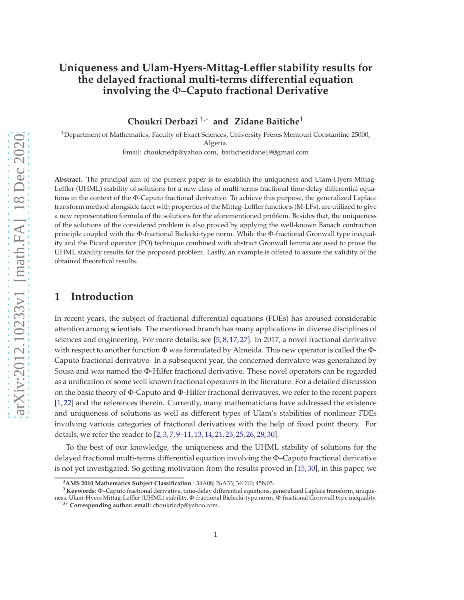### **Uniqueness and Ulam-Hyers-Mittag-Leffler stability results for the delayed fractional multi-terms differential equation involving the** Φ**–Caputo fractional Derivative**

**Choukri Derbazi** 1,<sup>∗</sup> **and Zidane Baitiche**<sup>1</sup>

<sup>1</sup>Department of Mathematics, Faculty of Exact Sciences, University Frères Mentouri Constantine 25000, Algeria.

Email: choukriedp@yahoo.com, baitichezidane19@gmail.com

**Abstract.** The principal aim of the present paper is to establish the uniqueness and Ulam-Hyers Mittag-Leffler (UHML) stability of solutions for a new class of multi-terms fractional time-delay differential equations in the context of the Φ-Caputo fractional derivative. To achieve this purpose, the generalized Laplace transform method alongside facet with properties of the Mittag-Leffler functions (M-LFs), are utilized to give a new representation formula of the solutions for the aforementioned problem. Besides that, the uniqueness of the solutions of the considered problem is also proved by applying the well-known Banach contraction principle coupled with the Φ-fractional Bielecki-type norm. While the Φ-fractional Gronwall type inequality and the Picard operator (PO) technique combined with abstract Gronwall lemma are used to prove the UHML stability results for the proposed problem. Lastly, an example is offered to assure the validity of the obtained theoretical results.

#### **1 Introduction**

In recent years, the subject of fractional differential equations (FDEs) has aroused considerable attention among scientists. The mentioned branch has many applications in diverse disciplines of sciences and engineering. For more details, see  $[5, 8, 17, 27]$  $[5, 8, 17, 27]$  $[5, 8, 17, 27]$  $[5, 8, 17, 27]$  $[5, 8, 17, 27]$  $[5, 8, 17, 27]$ . In 2017, a novel fractional derivative with respect to another function Φ was formulated by Almeida. This new operator is called the Φ-Caputo fractional derivative. In a subsequent year, the concerned derivative was generalized by Sousa and was named the Φ-Hilfer fractional derivative. These novel operators can be regarded as a unification of some well known fractional operators in the literature. For a detailed discussion on the basic theory of Φ-Caputo and Φ-Hilfer fractional derivatives, we refer to the recent papers [\[1,](#page-9-2) [22\]](#page-10-2) and the references therein. Currently, many mathematicians have addressed the existence and uniqueness of solutions as well as different types of Ulam's stabilities of nonlinear FDEs involving various categories of fractional derivatives with the help of fixed point theory. For details, we refer the reader to [\[2,](#page-9-3) [3,](#page-9-4) [7,](#page-9-5) [9–](#page-9-6)[11,](#page-9-7) [13,](#page-10-3) [14,](#page-10-4) [21,](#page-10-5) [23,](#page-10-6) [25,](#page-10-7) [26,](#page-10-8) [28,](#page-10-9) [30\]](#page-10-10).

To the best of our knowledge, the uniqueness and the UHML stability of solutions for the delayed fractional multi-terms differential equation involving the Φ–Caputo fractional derivative is not yet investigated. So getting motivation from the results proved in [\[15,](#page-10-11) [30\]](#page-10-10), in this paper, we

<sup>0</sup>**AMS 2010 Mathematics Subject Classification** : 34A08; 26A33; 34D10; 45N05.

<sup>0</sup> **Keywords**: Φ–Caputo fractional derivative, time-delay differential equations, generalized Laplace transform, uniqueness, Ulam-Hyers Mittag-Leffler (UHML) stability, Φ-fractional Bielecki-type norm, Φ-fractional Gronwall type inequality.

<sup>0</sup><sup>∗</sup> **Corresponding author: email**: choukriedp@yahoo.com.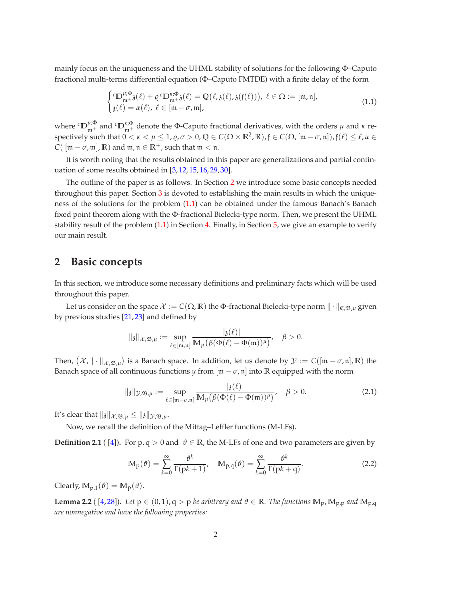mainly focus on the uniqueness and the UHML stability of solutions for the following Φ–Caputo fractional multi-terms differential equation (Φ–Caputo FMTDE) with a finite delay of the form

<span id="page-1-1"></span>
$$
\begin{cases}^{c} \mathbb{D}_{\mathfrak{m}^{+}}^{\mu,\Phi} \mathfrak{z}(\ell) + \varrho^{c} \mathbb{D}_{\mathfrak{m}^{+}}^{\kappa,\Phi} \mathfrak{z}(\ell) = \mathbb{Q}(\ell, \mathfrak{z}(\ell), \mathfrak{z}(\mathfrak{f}(\ell))), \ \ell \in \Omega := [\mathfrak{m}, \mathfrak{n}],\\ \mathfrak{z}(\ell) = \alpha(\ell), \ \ell \in [\mathfrak{m} - \sigma, \mathfrak{m}], \end{cases} \tag{1.1}
$$

where  ${}^cD_{m^+}^{\mu;\Phi}$  and  ${}^cD_{m^+}^{\kappa;\Phi}$  denote the Φ-Caputo fractional derivatives, with the orders  $\mu$  and  $\kappa$  respectively such that  $0 < \kappa < \mu \leq 1$ ,  $\varrho, \sigma > 0$ ,  $\mathbb{Q} \in C(\Omega \times \mathbb{R}^2, \mathbb{R})$ ,  $\mathfrak{f} \in C(\Omega, [\mathfrak{m} - \sigma, \mathfrak{n}])$ ,  $\mathfrak{f}(\ell) \leq \ell, \alpha \in \mathbb{R}^2$ *C*(  $[m - \sigma, m], \mathbb{R}$ ) and  $m, n \in \mathbb{R}^+$ , such that  $m < n$ .

It is worth noting that the results obtained in this paper are generalizations and partial continuation of some results obtained in [\[3,](#page-9-4) [12,](#page-9-8) [15,](#page-10-11) [16,](#page-10-12) [29,](#page-10-13) [30\]](#page-10-10).

The outline of the paper is as follows. In Section [2](#page-1-0) we introduce some basic concepts needed throughout this paper. Section [3](#page-4-0) is devoted to establishing the main results in which the uniqueness of the solutions for the problem [\(1.1\)](#page-1-1) can be obtained under the famous Banach's Banach fixed point theorem along with the Φ-fractional Bielecki-type norm. Then, we present the UHML stability result of the problem [\(1.1\)](#page-1-1) in Section [4.](#page-6-0) Finally, in Section [5,](#page-9-9) we give an example to verify our main result.

#### <span id="page-1-0"></span>**2 Basic concepts**

In this section, we introduce some necessary definitions and preliminary facts which will be used throughout this paper.

Let us consider on the space  $\mathcal{X} := C(\Omega,\mathbb{R})$  the Φ-fractional Bielecki-type norm  $\|\cdot\|_{\mathfrak{C},\mathfrak{B},\mu}$  given by previous studies [\[21,](#page-10-5) [23\]](#page-10-6) and defined by

$$
\| \mathfrak{z} \|_{\mathcal{X}, \mathfrak{B}, \mu} := \sup_{\ell \in [\mathfrak{m}, \mathfrak{n}]} \frac{|\mathfrak{z}(\ell)|}{\mathbb{M}_{\mu}\big(\beta(\Phi(\ell)-\Phi(\mathfrak{m}))^{\mu}\big)}, \quad \beta > 0.
$$

Then,  $(\mathcal{X},\|\cdot\|_{\mathcal{X},\mathfrak{B},\mu})$  is a Banach space. In addition, let us denote by  $\mathcal{Y}:=C([{\mathfrak{m}}-\sigma,{\mathfrak{n}}],{\mathbb{R}})$  the Banach space of all continuous functions *y* from  $\left[\mathfrak{m} - \sigma, \mathfrak{n}\right]$  into **R** equipped with the norm

$$
\|\mathfrak{z}\|_{\mathcal{Y},\mathfrak{B},\mu} := \sup_{\ell \in [\mathfrak{m} - \sigma,\mathfrak{n}]} \frac{|\mathfrak{z}(\ell)|}{\mathbb{M}_{\mu}(\beta(\Phi(\ell) - \Phi(\mathfrak{m}))^{\mu})}, \quad \beta > 0.
$$
 (2.1)

It's clear that  $||\mathfrak{z}||_{\mathcal{X},\mathfrak{B},\mu} \leq ||\mathfrak{z}||_{\mathcal{Y},\mathfrak{B},\mu}$ .

Now, we recall the definition of the Mittag–Leffler functions (M-LFs).

**Definition 2.1** ( [\[4\]](#page-9-10)). For  $p, q > 0$  and  $\vartheta \in \mathbb{R}$ , the M-LFs of one and two parameters are given by

$$
\mathbb{M}_{p}(\vartheta) = \sum_{k=0}^{\infty} \frac{\vartheta^{k}}{\Gamma(pk+1)}, \quad \mathbb{M}_{p,q}(\vartheta) = \sum_{k=0}^{\infty} \frac{\vartheta^{k}}{\Gamma(pk+q)}.
$$
 (2.2)

Clearly,  $M_{p,1}(\theta) = M_p(\theta)$ .

<span id="page-1-2"></span>**Lemma 2.2** (  $[4,28]$  $[4,28]$ ). Let  $p \in (0,1)$ ,  $q > p$  be arbitrary and  $\vartheta \in \mathbb{R}$ . The functions  $M_p$ ,  $M_{p,p}$  and  $M_{p,q}$ *are nonnegative and have the following properties:*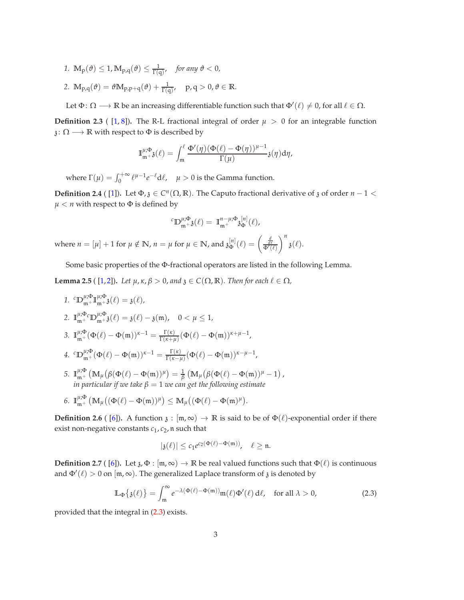*1*.  $\mathbb{M}_{\mathcal{P}}(\vartheta) \leq 1$ ,  $\mathbb{M}_{\mathcal{P},\mathcal{Q}}(\vartheta) \leq \frac{1}{\Gamma(\mathcal{q})}$ , for any  $\vartheta < 0$ , 2.  $\mathbb{M}_{p,q}(\vartheta) = \vartheta \mathbb{M}_{p,p+q}(\vartheta) + \frac{1}{\Gamma(q)}, \quad p,q > 0, \vartheta \in \mathbb{R}.$ 

Let  $\Phi: \Omega \longrightarrow \mathbb{R}$  be an increasing differentiable function such that  $\Phi'(\ell) \neq 0$ , for all  $\ell \in \Omega$ .

**Definition 2.3** ([1,[8\]](#page-9-1)). The R-L fractional integral of order  $\mu > 0$  for an integrable function  $\mathfrak{z} \colon \Omega \longrightarrow \mathbb{R}$  with respect to  $\Phi$  is described by

$$
\mathbb{I}_{\mathfrak{m}+3}^{\mu;\Phi}(\ell)=\int_{\mathfrak{m}}^{\ell}\frac{\Phi'(\eta)(\Phi(\ell)-\Phi(\eta))^{\mu-1}}{\Gamma(\mu)}\mathfrak{z}(\eta)d\eta,
$$

where  $\Gamma(\mu) = \int_0^{+\infty} \ell^{\mu-1} e^{-\ell} d\ell$ ,  $\mu > 0$  is the Gamma function.

**Definition 2.4** ( [\[1\]](#page-9-2)). Let  $\Phi$ ,  $\chi$   $\in C^n(\Omega,\mathbb{R})$ . The Caputo fractional derivative of  $\chi$  of order  $n-1 <$  $\mu < n$  with respect to  $\Phi$  is defined by

$$
{}^{c}\mathbb{D}_{\mathfrak{m}^+}^{\mu;\Phi} \mathfrak{z}(\ell) = \mathbb{I}_{\mathfrak{m}^+}^{n-\mu;\Phi} \mathfrak{z}_{\Phi}^{[n]}(\ell),
$$

where  $n = [\mu] + 1$  for  $\mu \notin \mathbb{N}$ ,  $n = \mu$  for  $\mu \in \mathbb{N}$ , and  $\mathfrak{z}_{\Phi}^{[n]}(\ell) = \begin{pmatrix} \frac{d}{d\ell} \\ \frac{d}{\Phi'(\ell)} \end{pmatrix}$  $\bigg\}^n_{\mathfrak{z}(\ell).}$ 

Some basic properties of the Φ-fractional operators are listed in the following Lemma.

<span id="page-2-1"></span>**Lemma 2.5** (  $[1,2]$  $[1,2]$ ). *Let*  $\mu$ ,  $\kappa$ ,  $\beta > 0$ , and  $\jmath \in C(\Omega,\mathbb{R})$ . Then for each  $\ell \in \Omega$ ,

- *1.*  ${}^{c}D_{m+}^{\mu;\Phi}\mathbb{I}_{m+}^{\mu;\Phi}\mathfrak{z}(\ell) = \mathfrak{z}(\ell),$ 2.  $\mathbb{I}_{m+}^{\mu;\Phi}$  ${}_{m^{+}}^{\mu;\Phi_{c}}\mathbb{D}_{m^{+}}^{\mu;\Phi_{c}}\mathfrak{z}(\ell) = \mathfrak{z}(\ell) - \mathfrak{z}(m), \quad 0 < \mu \leq 1,$ 3.  $\mathbb{I}_{\mathfrak{m}^+}^{\mu;\Phi}(\Phi(\ell)-\Phi(\mathfrak{m}))^{\kappa-1}=\frac{\Gamma(\kappa)}{\Gamma(\kappa+\mu)}$  $\frac{\Gamma(\kappa)}{\Gamma(\kappa+\mu)}(\Phi(\ell)-\Phi(\mathfrak{m}))^{\kappa+\mu-1}$  , *4.*  ${}^{c}D_{\mathfrak{m}^+}^{\mu;\Phi}(\Phi(\ell)-\Phi(\mathfrak{m}))^{\kappa-1}=\frac{\Gamma(\kappa)}{\Gamma(\kappa-\mu)}$  $\frac{\Gamma(\kappa)}{\Gamma(\kappa-\mu)}(\Phi(\ell)-\Phi(\mathfrak{m}))^{\kappa-\mu-1}$  , *5.*  $\mathbb{I}_{m+}^{\mu;\Phi}$  $\int_{\mathfrak{m}^+}^{\mu,\Phi} \left( \mathbb{M}_\mu \big( \beta(\Phi(\ell)-\Phi(\mathfrak{m}))^\mu \big) = \frac{1}{\beta} \left( \mathbb{M}_\mu \big( \beta(\Phi(\ell)-\Phi(\mathfrak{m}))^\mu-1 \right),$ *in particular if we take*  $\beta = 1$  *we can get the following estimate*
- 6.  $\mathbb{I}_{m+}^{\mu;\Phi}$  $\binom{\mu, \Phi}{m^+} \left( M_\mu \left( (\Phi(\ell) - \Phi(m))^{\mu} \right) \leq M_\mu \left( (\Phi(\ell) - \Phi(m)^{\mu} \right) .$

**Definition 2.6** ( [\[6\]](#page-9-11)). A function  $\chi$  :  $\vert m, \infty$   $\rangle \rightarrow \mathbb{R}$  is said to be of  $\Phi(\ell)$ -exponential order if there exist non-negative constants *c*<sup>1</sup> , *c*2, n such that

<span id="page-2-0"></span>
$$
|\mathfrak{z}(\ell)|\leq c_1e^{c_2(\Phi(\ell)-\Phi(\mathfrak{m}))},\quad \ell\geq \mathfrak{n}.
$$

**Definition 2.7** ( [\[6\]](#page-9-11)). Let  $\chi$ ,  $\Phi$  :  $\vert \mathfrak{m}$ ,  $\infty$   $\rangle \to \mathbb{R}$  be real valued functions such that  $\Phi(\ell)$  is continuous and  $\Phi'(\ell) > 0$  on  $[m, \infty)$ . The generalized Laplace transform of  $\delta$  is denoted by

$$
\mathbb{L}_{\Phi}\{\mathfrak{z}(\ell)\} = \int_{\mathfrak{m}}^{\infty} e^{-\lambda(\Phi(\ell) - \Phi(\mathfrak{m}))} \mathfrak{m}(\ell) \Phi'(\ell) d\ell, \quad \text{for all } \lambda > 0,
$$
 (2.3)

provided that the integral in [\(2.3\)](#page-2-0) exists.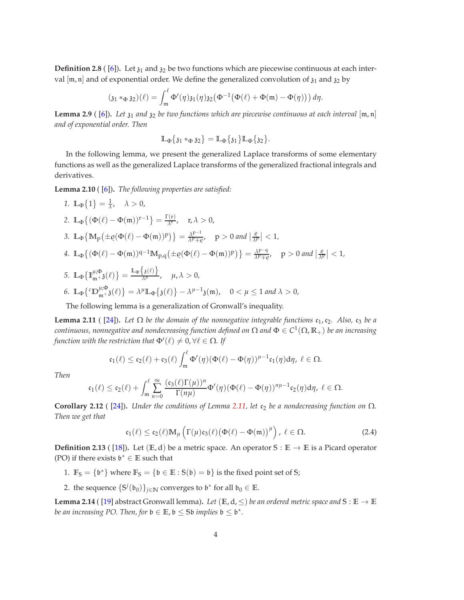**Definition 2.8** ([\[6\]](#page-9-11)). Let  $\chi_1$  and  $\chi_2$  be two functions which are piecewise continuous at each interval  $[m, n]$  and of exponential order. We define the generalized convolution of  $\mathfrak{z}_1$  and  $\mathfrak{z}_2$  by

$$
(\mathfrak{z}_1 *_{\Phi} \mathfrak{z}_2)(\ell) = \int_{\mathfrak{m}}^{\ell} \Phi'(\eta) \mathfrak{z}_1(\eta) \mathfrak{z}_2(\Phi^{-1}(\Phi(\ell) + \Phi(\mathfrak{m}) - \Phi(\eta))) d\eta.
$$

**Lemma 2.9** ( [\[6\]](#page-9-11)). Let  $\mathfrak{z}_1$  and  $\mathfrak{z}_2$  be two functions which are piecewise continuous at each interval  $[\mathfrak{m}, \mathfrak{n}]$ *and of exponential order. Then*

$$
\mathbb{L}_{\Phi}\{\mathfrak{z}_1 *_{\Phi} \mathfrak{z}_2\} = \mathbb{L}_{\Phi}\{\mathfrak{z}_1\} \mathbb{L}_{\Phi}\{\mathfrak{z}_2\}.
$$

In the following lemma, we present the generalized Laplace transforms of some elementary functions as well as the generalized Laplace transforms of the generalized fractional integrals and derivatives.

<span id="page-3-1"></span>**Lemma 2.10** ( [\[6\]](#page-9-11))**.** *The following properties are satisfied:*

\n- 1. 
$$
\mathbb{L}_{\Phi}\{1\} = \frac{1}{\lambda}, \quad \lambda > 0,
$$
\n- 2.  $\mathbb{L}_{\Phi}\{(\Phi(\ell) - \Phi(\mathfrak{m}))^{r-1}\} = \frac{\Gamma(r)}{\lambda^r}, \quad r, \lambda > 0,$
\n- 3.  $\mathbb{L}_{\Phi}\{\mathbb{M}_p(\pm \varrho(\Phi(\ell) - \Phi(\mathfrak{m}))^p)\} = \frac{\lambda^{p-1}}{\lambda^p \mp \varrho}, \quad p > 0 \text{ and } \left|\frac{\varrho}{\lambda^p}\right| < 1,$
\n- 4.  $\mathbb{L}_{\Phi}\{(\Phi(\ell) - \Phi(\mathfrak{m}))^{q-1}\mathbb{M}_{p,q}(\pm \varrho(\Phi(\ell) - \Phi(\mathfrak{m}))^p)\} = \frac{\lambda^{p-q}}{\lambda^p \mp \varrho}, \quad p > 0 \text{ and } \left|\frac{\varrho}{\lambda^p}\right| < 1,$
\n- 5.  $\mathbb{L}_{\Phi}\{\mathbb{I}_{\mathfrak{m}}^{\mu; \Phi}(\ell)\} = \frac{\mathbb{L}_{\Phi}\{\mathfrak{z}(\ell)\}}{\lambda^{\mu}}, \quad \mu, \lambda > 0,$
\n- 6.  $\mathbb{L}_{\Phi}\{^c\mathbb{D}_{\mathfrak{m}}^{\mu; \Phi}(\ell)\} = \lambda^{\mu} \mathbb{L}_{\Phi}\{\mathfrak{z}(\ell)\} - \lambda^{\mu-1}\mathfrak{z}(\mathfrak{m}), \quad 0 < \mu \leq 1 \text{ and } \lambda > 0,$
\n

The following lemma is a generalization of Gronwall's inequality.

<span id="page-3-0"></span>**Lemma 2.11** ( [\[24\]](#page-10-14)). Let  $\Omega$  be the domain of the nonnegative integrable functions  $c_1$ ,  $c_2$ . Also,  $c_3$  be a *continuous, nonnegative and nondecreasing function defined on* Ω *and* Φ ∈ *C* 1 (Ω, **R**+) *be an increasing function with the restriction that*  $\Phi'(\ell) \neq 0, \forall \ell \in \Omega$ *. If* 

$$
\mathfrak{c}_1(\ell)\leq \mathfrak{c}_2(\ell)+\mathfrak{c}_3(\ell)\int_{\mathfrak{m}}^\ell \Phi'(\eta)(\Phi(\ell)-\Phi(\eta))^{\mu-1}\mathfrak{c}_1(\eta)d\eta, \ \ell\in \Omega.
$$

*Then*

$$
\mathfrak{c}_1(\ell) \leq \mathfrak{c}_2(\ell) + \int_{\mathfrak{m}}^\ell \sum_{n=0}^\infty \frac{(\mathfrak{c}_3(\ell)\Gamma(\mu))^n}{\Gamma(n\mu)}\Phi'(\eta)(\Phi(\ell)-\Phi(\eta))^{n\mu-1}\mathfrak{c}_2(\eta)d\eta, \ \ell \in \Omega.
$$

<span id="page-3-2"></span>**Corollary 2.12** ( [\[24\]](#page-10-14)). *Under the conditions of Lemma [2.11,](#page-3-0) let*  $c_2$  *be a nondecreasing function on*  $\Omega$ *. Then we get that*

<span id="page-3-3"></span>
$$
\mathfrak{c}_1(\ell) \leq \mathfrak{c}_2(\ell) \mathbb{M}_{\mu} \left( \Gamma(\mu) \mathfrak{c}_3(\ell) \big( \Phi(\ell) - \Phi(\mathfrak{m}) \big)^{\mu} \right), \ \ell \in \Omega. \tag{2.4}
$$

**Definition 2.13** ( [\[18\]](#page-10-15)). Let ( $E$ , d) be a metric space. An operator  $S : E \to E$  is a Picard operator (PO) if there exists  $\mathfrak{b}^* \in \mathbb{E}$  such that

- 1.  $\mathbb{F}_S = \{b^*\}$  where  $\mathbb{F}_S = \{b \in \mathbb{E} : S(b) = b\}$  is the fixed point set of S;
- 2. the sequence  $\{S^j(\mathfrak{b}_0)\}_{j\in\mathbb{N}}$  converges to  $\mathfrak{b}^*$  for all  $\mathfrak{b}_0\in\mathbb{E}$ .

<span id="page-3-4"></span>**Lemma 2.14** ( [\[19\]](#page-10-16) abstract Gronwall lemma). Let  $(E, d, \leq)$  be an ordered metric space and  $S : E \to E$ *be an increasing PO. Then, for*  $\mathfrak{b} \in \mathbb{E}$ ,  $\mathfrak{b} \leq$  Sb *implies*  $\mathfrak{b} \leq \mathfrak{b}^*$ *.*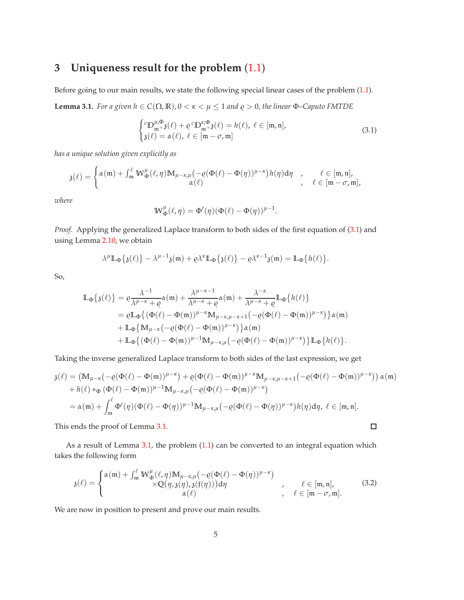# <span id="page-4-0"></span>**3 Uniqueness result for the problem** [\(1.1\)](#page-1-1)

Before going to our main results, we state the following special linear cases of the problem [\(1.1\)](#page-1-1).

<span id="page-4-2"></span>**Lemma 3.1.** *For a given*  $h \in C(\Omega, \mathbb{R})$ *,*  $0 < \kappa < \mu \leq 1$  *and*  $\varrho > 0$ *, the linear*  $\Phi$ -Caputo FMTDE

<span id="page-4-1"></span>
$$
\begin{cases}^{c} \mathbb{D}_{\mathfrak{m}+3}^{\mu;\Phi}(\ell) + \varrho^{c} \mathbb{D}_{\mathfrak{m}+3}^{\kappa;\Phi}(\ell) = h(\ell), \ \ell \in [\mathfrak{m}, \mathfrak{n}],\\ \mathfrak{z}(\ell) = \alpha(\ell), \ \ell \in [\mathfrak{m} - \sigma, \mathfrak{m}] \end{cases} \tag{3.1}
$$

*has a unique solution given explicitly as*

$$
\mathfrak{z}(\ell)=\begin{cases} \alpha(\mathfrak{m})+\int_{\mathfrak{m}}^{\ell}W_{\Phi}^{\mu}(\ell,\eta)\mathbb{M}_{\mu-\kappa,\mu}\big(-\varrho(\Phi(\ell)-\Phi(\eta))^{\mu-\kappa}\big)h(\eta)\text{d}\eta & ,\quad \ell\in[\mathfrak{m},\mathfrak{n}],\\ \alpha(\ell) & ,\quad \ell\in[\mathfrak{m}-\sigma,\mathfrak{m}],\end{cases}
$$

*where*

$$
\mathbb{W}_{\Phi}^{\mu}(\ell,\eta) = \Phi'(\eta)(\Phi(\ell) - \Phi(\eta))^{\mu-1}.
$$

*Proof.* Applying the generalized Laplace transform to both sides of the first equation of [\(3.1\)](#page-4-1) and using Lemma [2.10,](#page-3-1) we obtain

$$
\lambda^{\mu} \mathbb{L}_{\Phi} \{ \mathfrak{z}(\ell) \} - \lambda^{\mu - 1} \mathfrak{z}(\mathfrak{m}) + \varrho \lambda^{\kappa} \mathbb{L}_{\Phi} \{ \mathfrak{z}(\ell) \} - \varrho \lambda^{\kappa - 1} \mathfrak{z}(\mathfrak{m}) = \mathbb{L}_{\Phi} \{ h(\ell) \}.
$$

So,

$$
\mathbb{L}_{\Phi}\left\{\mathfrak{z}(\ell)\right\} = \varrho \frac{\lambda^{-1}}{\lambda^{\mu-\kappa} + \varrho} \alpha(\mathfrak{m}) + \frac{\lambda^{\mu-\kappa-1}}{\lambda^{\mu-\kappa} + \varrho} \alpha(\mathfrak{m}) + \frac{\lambda^{-\kappa}}{\lambda^{\mu-\kappa} + \varrho} \mathbb{L}_{\Phi}\left\{h(\ell)\right\} \n= \varrho \mathbb{L}_{\Phi}\left\{\left(\Phi(\ell) - \Phi(\mathfrak{m})\right)^{\mu-\kappa} \mathbb{M}_{\mu-\kappa,\mu-\kappa+1}\left(-\varrho(\Phi(\ell) - \Phi(\mathfrak{m}))^{\mu-\kappa}\right)\right\} \alpha(\mathfrak{m}) \n+ \mathbb{L}_{\Phi}\left\{\mathbb{M}_{\mu-\kappa} \left(-\varrho(\Phi(\ell) - \Phi(\mathfrak{m}))^{\mu-\kappa}\right)\right\} \alpha(\mathfrak{m}) \n+ \mathbb{L}_{\Phi}\left\{\left(\Phi(\ell) - \Phi(\mathfrak{m})\right)^{\mu-1} \mathbb{M}_{\mu-\kappa,\mu}\left(-\varrho(\Phi(\ell) - \Phi(\mathfrak{m}))^{\mu-\kappa}\right)\right\} \mathbb{L}_{\Phi}\left\{h(\ell)\right\}.
$$

Taking the inverse generalized Laplace transform to both sides of the last expression, we get

$$
\mathfrak{z}(\ell) = \left( \mathbb{M}_{\mu-\kappa} \left( -\varrho(\Phi(\ell) - \Phi(\mathfrak{m}))^{\mu-\kappa} \right) + \varrho(\Phi(\ell) - \Phi(\mathfrak{m}))^{\mu-\kappa} \mathbb{M}_{\mu-\kappa,\mu-\kappa+1} \left( -\varrho(\Phi(\ell) - \Phi(\mathfrak{m}))^{\mu-\kappa} \right) \right) \alpha(\mathfrak{m})
$$
  
+  $h(\ell) *_{\Phi} (\Phi(\ell) - \Phi(\mathfrak{m}))^{\mu-1} \mathbb{M}_{\mu-\kappa,\mu} \left( -\varrho(\Phi(\ell) - \Phi(\mathfrak{m}))^{\mu-\kappa} \right)$   
=  $\alpha(\mathfrak{m}) + \int_{\mathfrak{m}}^{\ell} \Phi'(\eta) (\Phi(\ell) - \Phi(\eta))^{\mu-1} \mathbb{M}_{\mu-\kappa,\mu} \left( -\varrho(\Phi(\ell) - \Phi(\eta))^{\mu-\kappa} \right) h(\eta) d\eta, \ \ell \in [\mathfrak{m}, \mathfrak{n}].$ 

This ends the proof of Lemma [3.1.](#page-4-2)

As a result of Lemma [3.1,](#page-4-2) the problem [\(1.1\)](#page-1-1) can be converted to an integral equation which takes the following form

<span id="page-4-3"></span>
$$
\mathfrak{z}(\ell) = \begin{cases} \alpha(\mathfrak{m}) + \int_{\mathfrak{m}}^{\ell} W_{\Phi}^{\mu}(\ell, \eta) M_{\mu-\kappa,\mu}(-\varrho(\Phi(\ell)-\Phi(\eta))^{\mu-\kappa}) \\ \times \mathbb{Q}(\eta, \mathfrak{z}(\eta), \mathfrak{z}(\mathfrak{f}(\eta))) d\eta \\ \alpha(\ell) \end{cases}, \quad \ell \in [\mathfrak{m}, \mathfrak{n}], \quad (3.2)
$$

We are now in position to present and prove our main results.

 $\Box$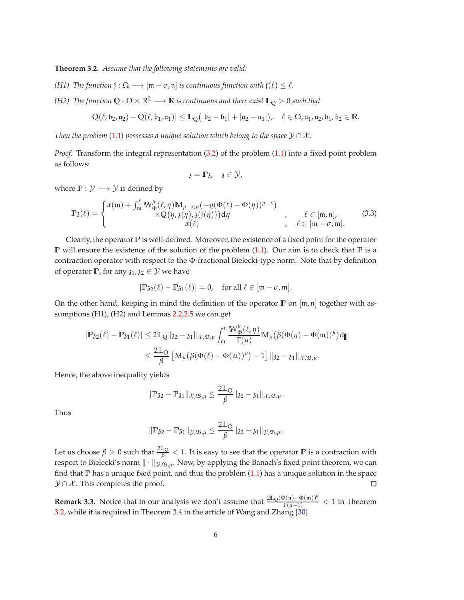<span id="page-5-0"></span>**Theorem 3.2.** *Assume that the following statements are valid:*

- *(H1)* The function  $f: \Omega \longrightarrow [m \sigma, n]$  *is continuous function with*  $f(\ell) \leq \ell$ *.*
- *(H2)* The function  $Q: \Omega \times \mathbb{R}^2 \longrightarrow \mathbb{R}$  *is continuous and there exist*  $\mathbb{L}_Q > 0$  *such that*

$$
|\mathbb{Q}(\ell,\mathfrak{b}_2,\mathfrak{a}_2)-\mathbb{Q}(\ell,\mathfrak{b}_1,\mathfrak{a}_1)|\leq\mathbb{L}_{\mathbb{Q}}\big(|\mathfrak{b}_2-\mathfrak{b}_1|+|\mathfrak{a}_2-\mathfrak{a}_1|\big),\quad \ell\in\Omega, \mathfrak{a}_1,\mathfrak{a}_2,\mathfrak{b}_1,\mathfrak{b}_2\in\mathbb{R}.
$$

*Then the problem* [\(1.1\)](#page-1-1) *possesses a unique solution which belong to the space*  $\mathcal{Y} \cap \mathcal{X}$ *.* 

*Proof.* Transform the integral representation [\(3.2\)](#page-4-3) of the problem [\(1.1\)](#page-1-1) into a fixed point problem as follows:

$$
\mathfrak{z}=\mathbb{P}\mathfrak{z},\quad \mathfrak{z}\in \mathcal{Y},
$$

where  $\mathbb{P}: \mathcal{Y} \longrightarrow \mathcal{Y}$  is defined by

$$
\mathbb{P}_{\mathfrak{z}}(\ell) = \begin{cases} \alpha(\mathfrak{m}) + \int_{\mathfrak{m}}^{\ell} \mathbb{W}_{\Phi}^{\mu}(\ell, \eta) \mathbb{M}_{\mu - \kappa, \mu}(-\varrho(\Phi(\ell) - \Phi(\eta))^{\mu - \kappa}) \\ \times \mathbb{Q}(\eta, \mathfrak{z}(\eta), \mathfrak{z}(\mathfrak{f}(\eta))) d\eta \\ \alpha(\ell) \end{cases}, \quad \ell \in [\mathfrak{m}, \mathfrak{n}], \qquad (3.3)
$$

Clearly, the operator **P** is well-defined. Moreover, the existence of a fixed point for the operator **P** will ensure the existence of the solution of the problem [\(1.1\)](#page-1-1). Our aim is to check that **P** is a contraction operator with respect to the Φ-fractional Bielecki-type norm. Note that by definition of operator **P**, for any  $\mathfrak{z}_1, \mathfrak{z}_2 \in \mathcal{Y}$  we have

$$
|\mathbb{P}_{32}(\ell)-\mathbb{P}_{31}(\ell)|=0, \quad \text{for all } \ell\in [\mathfrak{m}-\sigma,\mathfrak{m}].
$$

On the other hand, keeping in mind the definition of the operator  $\mathbb P$  on  $[m, n]$  together with assumptions (H1), (H2) and Lemmas [2.2](#page-1-2)[,2.5](#page-2-1) we can get

$$
\begin{aligned} |\mathbb{P}_{32}(\ell)-\mathbb{P}_{31}(\ell)|&\leq 2\mathbb{L}_{\mathbb{Q}}\|\mathfrak{z}_2-\mathfrak{z}_1\|_{\mathcal{X},\mathfrak{B},\mu}\int_{\mathfrak{m}}^{\ell}\frac{\mathbb{W}_{\Phi}^{\mu}(\ell,\eta)}{\Gamma(\mu)}\mathbb{M}_{\mu}\big(\beta(\Phi(\eta)-\Phi(\mathfrak{m}))^{\mu}\big)\mathrm{d}\mathbf{r} \\ &\leq \frac{2\mathbb{L}_{\mathbb{Q}}}{\beta}\left[\mathbb{M}_{\mu}\big(\beta(\Phi(\ell)-\Phi(\mathfrak{m}))^{\mu}\big)-1\right]\|\mathfrak{z}_2-\mathfrak{z}_1\|_{\mathcal{X},\mathfrak{B},\mu}. \end{aligned}
$$

Hence, the above inequality yields

$$
\|\mathbb{P}_{\mathfrak{Z2}}-\mathbb{P}_{\mathfrak{Z1}}\|_{\mathcal{X},\mathfrak{B},\mu}\leq \frac{2\mathbb{L}_{\mathbb{Q}}}{\beta}\|_{\mathfrak{Z2}}-_{\mathfrak{Z1}}\|_{\mathcal{X},\mathfrak{B},\mu}.
$$

Thus

$$
\|\mathbb{P}_{\mathfrak{F2}}-\mathbb{P}_{\mathfrak{F1}}\|_{\mathcal{Y},\mathfrak{B},\mu}\leq \frac{2\mathbb{L}_{\mathbb{Q}}}{\beta}\|_{\mathfrak{F2}}-{\mathfrak{z}_{1}}\|_{\mathcal{Y},\mathfrak{B},\mu}.
$$

Let us choose  $\beta > 0$  such that  $\frac{2\mathbb{L}_Q}{\beta} < 1$ . It is easy to see that the operator  $\mathbb P$  is a contraction with respect to Bielecki's norm  $\|\cdot\|_{\mathcal{Y},\mathfrak{B},\mu}$ . Now, by applying the Banach's fixed point theorem, we can find that  $\mathbb P$  has a unique fxed point, and thus the problem  $(1.1)$  has a unique solution in the space  $\mathcal{Y} \cap \mathcal{X}$ . This completes the proof.  $\Box$ 

**Remark 3.3.** Notice that in our analysis we don't assume that  $\frac{2\mathbb{L}_{\mathbb{Q}}(\Phi(\mathfrak{n}) - \Phi(\mathfrak{m}))^{\mu}}{\Gamma(\mu+1)}$  $\frac{\mathbf{P}(\mathfrak{n}) - \mathbf{\Phi}(\mathfrak{m})\mathfrak{f}^n}{\Gamma(\mu+1)} < 1$  in Theorem [3.2,](#page-5-0) while it is required in Theorem 3.4 in the article of Wang and Zhang [\[30\]](#page-10-10).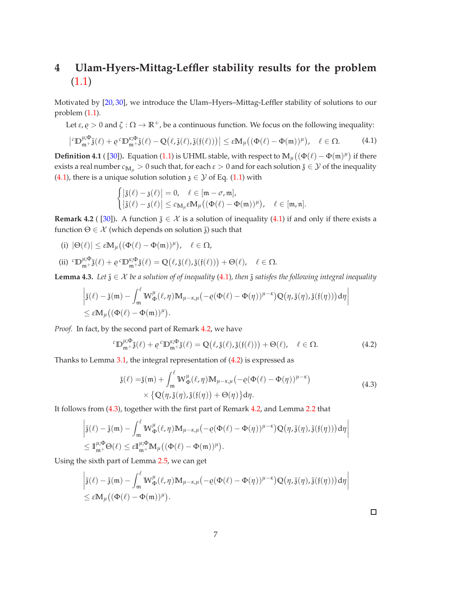# <span id="page-6-0"></span>**4 Ulam-Hyers-Mittag-Leffler stability results for the problem** [\(1.1\)](#page-1-1)

Motivated by [\[20,](#page-10-17) [30\]](#page-10-10), we introduce the Ulam–Hyers–Mittag-Leffler stability of solutions to our problem [\(1.1\)](#page-1-1).

Let  $\varepsilon$ ,  $\rho > 0$  and  $\zeta : \Omega \to \mathbb{R}^+$ , be a continuous function. We focus on the following inequality:

$$
\left| \,^c \mathbb{D}_{\mathfrak{m}^+}^{\mu; \Phi} \tilde{\mathfrak{z}}(\ell) + \varrho \,^c \mathbb{D}_{\mathfrak{m}^+}^{\kappa; \Phi} \tilde{\mathfrak{z}}(\ell) - \mathbb{Q}\big(\ell, \tilde{\mathfrak{z}}(\ell), \tilde{\mathfrak{z}}(\mathfrak{f}(\ell))\big) \right| \leq \varepsilon \mathbb{M}_{\mu}\big((\Phi(\ell) - \Phi(\mathfrak{m}))^{\mu}\big), \quad \ell \in \Omega. \tag{4.1}
$$

**Definition 4.1** ( [\[30\]](#page-10-10)). Equation [\(1.1\)](#page-1-1) is UHML stable, with respect to  $\mathbb{M}_{\mu}((\Phi(\ell) - \Phi(\mathfrak{m})^{\mu}))$  if there exists a real number  $c_{M_u} > 0$  such that, for each  $\varepsilon > 0$  and for each solution  $\tilde{\jmath} \in \mathcal{Y}$  of the inequality [\(4.1\)](#page-6-1), there is a unique solution solution  $\mathfrak{z} \in \mathcal{Y}$  of Eq. [\(1.1\)](#page-1-1) with

<span id="page-6-1"></span>
$$
\begin{cases} \left| \tilde{\mathfrak{z}}(\ell) - \mathfrak{z}(\ell) \right| = 0, & \ell \in [\mathfrak{m} - \sigma, \mathfrak{m}],\\ \left| \tilde{\mathfrak{z}}(\ell) - \mathfrak{z}(\ell) \right| \leq c_{\mathbb{M}_{\mu}} \varepsilon \mathbb{M}_{\mu} \big( (\Phi(\ell) - \Phi(\mathfrak{m}))^{\mu} \big), & \ell \in [\mathfrak{m}, \mathfrak{n}]. \end{cases}
$$

<span id="page-6-2"></span>**Remark 4.2** ( [\[30\]](#page-10-10)). A function  $\tilde{\mathfrak{z}} \in \mathcal{X}$  is a solution of inequality [\(4.1\)](#page-6-1) if and only if there exists a function  $\Theta \in \mathcal{X}$  (which depends on solution  $\tilde{a}$ ) such that

(i)  $|\Theta(\ell)| \leq \varepsilon \mathbb{M}_{\mu} \big( (\Phi(\ell) - \Phi(\mathfrak{m}))^{\mu} \big), \quad \ell \in \Omega,$ 

 $\overline{\phantom{a}}$ 

(ii)  ${}^{c}D_{\mathfrak{m}^+}^{\mu;\Phi}\tilde{\mathfrak{z}}(\ell) + \varrho \, {}^{c}D_{\mathfrak{m}^+}^{\kappa;\Phi}\tilde{\mathfrak{z}}(\ell) = \mathbb{Q}\big(\ell,\tilde{\mathfrak{z}}(\ell),\tilde{\mathfrak{z}}(\mathfrak{f}(\ell))\big) + \Theta(\ell), \quad \ell \in \Omega.$ 

<span id="page-6-5"></span>**Lemma 4.3.** *Let*  $\tilde{\mathfrak{z}} \in \mathcal{X}$  *be a solution of of inequality* [\(4.1\)](#page-6-1)*, then*  $\tilde{\mathfrak{z}}$  *satisfes the following integral inequality* 

$$
\begin{aligned}&\left|\tilde{\mathfrak{z}}(\ell)-\tilde{\mathfrak{z}}(\mathfrak{m})-\int_{\mathfrak{m}}^{\ell}W_{\Phi}^{\mu}(\ell,\eta)\mathbb{M}_{\mu-\kappa,\mu}\big(-\varrho(\Phi(\ell)-\Phi(\eta))^{\mu-\kappa}\big)Q\big(\eta,\tilde{\mathfrak{z}}(\eta),\tilde{\mathfrak{z}}(\mathfrak{f}(\eta))\big)d\eta\right|\\&\leq \epsilon\mathbb{M}_{\mu}\big((\Phi(\ell)-\Phi(\mathfrak{m}))^{\mu}\big).\end{aligned}
$$

*Proof.* In fact, by the second part of Remark [4.2,](#page-6-2) we have

$$
{}^{c}\mathbb{D}_{\mathfrak{m}+}^{\mu;\Phi}\tilde{\mathfrak{z}}(\ell) + \varrho \, {}^{c}\mathbb{D}_{\mathfrak{m}+}^{\kappa;\Phi}\tilde{\mathfrak{z}}(\ell) = \mathbb{Q}\big(\ell,\tilde{\mathfrak{z}}(\ell),\tilde{\mathfrak{z}}(\mathfrak{f}(\ell))\big) + \Theta(\ell), \quad \ell \in \Omega.
$$

Thanks to Lemma  $3.1$ , the integral representation of  $(4.2)$  is expressed as

$$
\tilde{\mathfrak{z}}(\ell) = \tilde{\mathfrak{z}}(\mathfrak{m}) + \int_{\mathfrak{m}}^{\ell} W_{\Phi}^{\mu}(\ell, \eta) M_{\mu-\kappa, \mu} \left( -\varrho(\Phi(\ell) - \Phi(\eta))^{\mu-\kappa} \right) \times \left\{ \mathbb{Q}(\eta, \tilde{\mathfrak{z}}(\eta), \tilde{\mathfrak{z}}(\mathfrak{f}(\eta)) + \Theta(\eta) \right\} d\eta.
$$
\n(4.3)

It follows from [\(4.3\)](#page-6-4), together with the first part of Remark [4.2,](#page-6-2) and Lemma [2.2](#page-1-2) that

$$
\begin{aligned}&\left|\tilde{\mathfrak{z}}(\ell)-\tilde{\mathfrak{z}}(\mathfrak{m})-\int_{\mathfrak{m}}^{\ell}W_{\Phi}^{\mu}(\ell,\eta)\mathbb{M}_{\mu-\kappa,\mu}\big(-\varrho(\Phi(\ell)-\Phi(\eta))^{\mu-\kappa}\big)Q\big(\eta,\tilde{\mathfrak{z}}(\eta),\tilde{\mathfrak{z}}(\mathfrak{f}(\eta))\big)d\eta\right|\\&\leq \mathbb{I}_{\mathfrak{m}^{+}}^{\mu;\Phi}\Theta(\ell)\leq \epsilon\mathbb{I}_{\mathfrak{m}^{+}}^{\mu;\Phi}\mathbb{M}_{\mu}\big((\Phi(\ell)-\Phi(\mathfrak{m}))^{\mu}\big).\end{aligned}
$$

Using the sixth part of Lemma [2.5,](#page-2-1) we can get

$$
\begin{aligned}&\left|\tilde{\mathfrak{z}}(\ell)-\tilde{\mathfrak{z}}(\mathfrak{m})-\int_{\mathfrak{m}}^{\ell}W_{\Phi}^{\mu}(\ell,\eta)\mathbb{M}_{\mu-\kappa,\mu}\big(-\varrho(\Phi(\ell)-\Phi(\eta))^{\mu-\kappa}\big)Q\big(\eta,\tilde{\mathfrak{z}}(\eta),\tilde{\mathfrak{z}}(\mathfrak{f}(\eta))\big)d\eta\right|\\&\leq \epsilon\mathbb{M}_{\mu}\big((\Phi(\ell)-\Phi(\mathfrak{m}))^{\mu}\big).\end{aligned}
$$

<span id="page-6-4"></span><span id="page-6-3"></span> $\Box$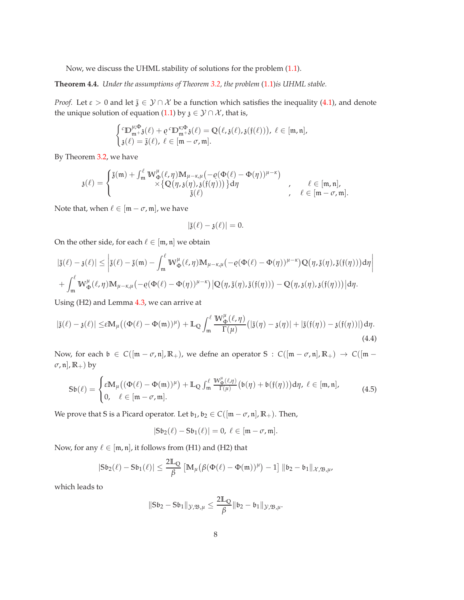Now, we discuss the UHML stability of solutions for the problem [\(1.1\)](#page-1-1).

<span id="page-7-1"></span>**Theorem 4.4.** *Under the assumptions of Theorem [3.2,](#page-5-0) the problem* [\(1.1\)](#page-1-1)*is UHML stable.*

*Proof.* Let  $\varepsilon > 0$  and let  $\tilde{\jmath} \in \mathcal{Y} \cap \mathcal{X}$  be a function which satisfies the inequality [\(4.1\)](#page-6-1), and denote the unique solution of equation [\(1.1\)](#page-1-1) by  $\chi \in \mathcal{Y} \cap \mathcal{X}$ , that is,

$$
\begin{cases} \n^{\iota}\mathbb{D}_{m+3}^{\mu,\Phi}(\ell)+\varrho \,^{\iota}\mathbb{D}_{m+3}^{\kappa,\Phi}(\ell)=\mathbb{Q}\big(\ell,\mathfrak{z}(\ell),\mathfrak{z}(\mathfrak{f}(\ell))\big),\ \ell\in[m,\mathfrak{n}],\\ \nmathfrak{z}(\ell)=\tilde{\mathfrak{z}}(\ell),\ \ell\in[m-\sigma,\mathfrak{m}].\n\end{cases}
$$

By Theorem [3.2,](#page-5-0) we have

$$
\mathfrak{z}(\ell)=\begin{cases} \tilde{\mathfrak{z}}(\mathfrak{m})+\int_{\mathfrak{m}}^{\ell}W_{\Phi}^{\mu}(\ell,\eta)M_{\mu-\kappa,\mu}\bigl(-\varrho(\Phi(\ell)-\Phi(\eta))^{\mu-\kappa}\bigr)\\ \qquad \qquad \times\bigl\{Q\bigl(\eta,\mathfrak{z}(\eta),\mathfrak{z}(\mathfrak{f}(\eta))\bigr)\bigr\}d\eta \qquad \qquad , \qquad \ell\in [\mathfrak{m},\mathfrak{n}],\\ \tilde{\mathfrak{z}}(\ell) \qquad \qquad , \qquad \ell\in [\mathfrak{m}-\sigma,\mathfrak{m}].\end{cases}
$$

Note that, when  $\ell \in [\mathfrak{m} - \sigma, \mathfrak{m}]$ , we have

<span id="page-7-0"></span>
$$
|\tilde{\mathfrak{z}}(\ell) - \mathfrak{z}(\ell)| = 0.
$$

On the other side, for each  $\ell \in [m, n]$  we obtain

$$
\begin{aligned} &|\tilde{\mathfrak{z}}(\ell)-\mathfrak{z}(\ell)|\leq \left|\tilde{\mathfrak{z}}(\ell)-\tilde{\mathfrak{z}}(\mathfrak{m})-\int_{\mathfrak{m}}^{\ell}W^{\mu}_{\Phi}(\ell,\eta)\mathbb{M}_{\mu-\kappa,\mu}\big(-\varrho(\Phi(\ell)-\Phi(\eta))^{\mu-\kappa}\big)Q\big(\eta,\tilde{\mathfrak{z}}(\eta),\tilde{\mathfrak{z}}(\mathfrak{f}(\eta))\big)d\eta\right|\\ &+\int_{\mathfrak{m}}^{\ell}W^{\mu}_{\Phi}(\ell,\eta)\mathbb{M}_{\mu-\kappa,\mu}\big(-\varrho(\Phi(\ell)-\Phi(\eta))^{\mu-\kappa}\big)\big|Q\big(\eta,\tilde{\mathfrak{z}}(\eta),\tilde{\mathfrak{z}}(\mathfrak{f}(\eta))\big)-Q\big(\eta,\mathfrak{z}(\eta),\mathfrak{z}(\mathfrak{f}(\eta))\big)\big|d\eta.\end{aligned}
$$

Using (H2) and Lemma [4.3,](#page-6-5) we can arrive at

$$
|\tilde{\mathfrak{z}}(\ell) - \mathfrak{z}(\ell)| \leq \varepsilon M_{\mu} \big( (\Phi(\ell) - \Phi(\mathfrak{m}))^{\mu} \big) + \mathbb{L}_{\mathbb{Q}} \int_{\mathfrak{m}}^{\ell} \frac{W_{\Phi}^{\mu}(\ell, \eta)}{\Gamma(\mu)} \big( |\tilde{\mathfrak{z}}(\eta) - \mathfrak{z}(\eta)| + |\tilde{\mathfrak{z}}(\mathfrak{f}(\eta)) - \mathfrak{z}(\mathfrak{f}(\eta))| \big) d\eta.
$$
\n(4.4)

Now, for each  $\mathfrak{b} \in C([m - \sigma, n], \mathbb{R}_+)$ , we defne an operator  $S : C([m - \sigma, n], \mathbb{R}_+) \to C([m - \sigma, n], \mathbb{R}_+)$ *σ*, n], **R**+) by

$$
\mathsf{S}\mathfrak{b}(\ell) = \begin{cases} \varepsilon \mathbb{M}_{\mu}((\Phi(\ell) - \Phi(\mathfrak{m}))^{\mu}) + \mathbb{L}_{\mathbb{Q}} \int_{\mathfrak{m}}^{\ell} \frac{\mathbb{W}_{\Phi}^{\mu}(\ell,\eta)}{\Gamma(\mu)} (\mathfrak{b}(\eta) + \mathfrak{b}(\mathfrak{f}(\eta))) d\eta, \ \ell \in [\mathfrak{m},\mathfrak{n}],\\ 0, \quad \ell \in [\mathfrak{m} - \sigma,\mathfrak{m}]. \end{cases} \tag{4.5}
$$

We prove that *S* is a Picard operator. Let  $\mathfrak{b}_1$ ,  $\mathfrak{b}_2 \in C([\mathfrak{m} - \sigma, \mathfrak{n}], \mathbb{R}_+)$ . Then,

$$
|\mathbb{S}\mathfrak{b}_2(\ell)-\mathbb{S}\mathfrak{b}_1(\ell)|=0,\ \ell\in[\mathfrak{m}-\sigma,\mathfrak{m}].
$$

Now, for any  $\ell \in [m, n]$ , it follows from (H1) and (H2) that

$$
|\mathsf{S}\mathfrak{b}_2(\ell)-\mathsf{S}\mathfrak{b}_1(\ell)|\leq \frac{2\mathbb{L}_{\mathbb{Q}}}{\beta}\left[\mathbb{M}_{\mu}\big(\beta(\Phi(\ell)-\Phi(\mathfrak{m}))^{\mu}\big)-1\right]\|\mathfrak{b}_2-\mathfrak{b}_1\|_{\mathcal{X},\mathfrak{B},\mu},
$$

which leads to

$$
\|S\mathfrak{b}_2-S\mathfrak{b}_1\|_{\mathcal{Y},\mathfrak{B},\mu}\leq \frac{2\mathbb{L}_{Q}}{\beta}\|\mathfrak{b}_2-\mathfrak{b}_1\|_{\mathcal{Y},\mathfrak{B},\mu}.
$$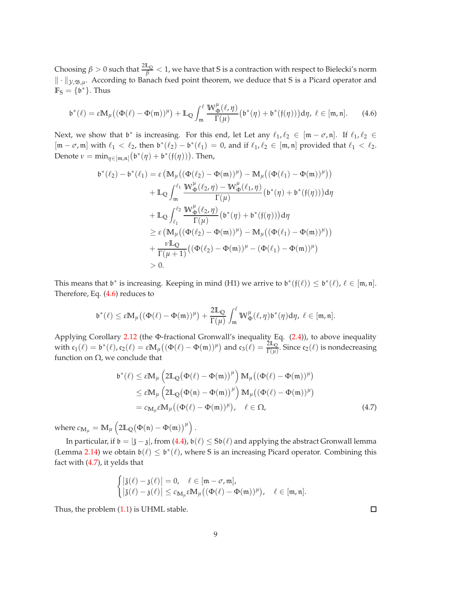Choosing  $\beta > 0$  such that  $\frac{2\mathbb{L}_Q}{\beta} < 1$ , we have that  $S$  is a contraction with respect to Bielecki's norm || ⋅ ||<sub>*y,*B,*µ*. According to Banach fxed point theorem, we deduce that *S* is a Picard operator and</sub>  $\mathbb{F}_{S} = \{\mathfrak{b}^*\}.$  Thus

<span id="page-8-0"></span>
$$
\mathfrak{b}^*(\ell) = \varepsilon \mathbb{M}_{\mu}\big((\Phi(\ell)-\Phi(\mathfrak{m}))^{\mu}\big) + \mathbb{L}_{\mathbb{Q}} \int_{\mathfrak{m}}^{\ell} \frac{\mathbb{W}_{\Phi}^{\mu}(\ell,\eta)}{\Gamma(\mu)} \big(\mathfrak{b}^*(\eta) + \mathfrak{b}^*(\mathfrak{f}(\eta))\big) d\eta, \ \ell \in [\mathfrak{m},\mathfrak{n}]. \tag{4.6}
$$

Next, we show that  $\mathfrak{b}^*$  is increasing. For this end, let Let any  $\ell_1, \ell_2 \in [\mathfrak{m} - \sigma, \mathfrak{n}]$ . If  $\ell_1, \ell_2 \in$  $[m - \sigma, m]$  with  $\ell_1 < \ell_2$ , then  $\mathfrak{b}^*(\ell_2) - \mathfrak{b}^*(\ell_1) = 0$ , and if  $\ell_1, \ell_2 \in [m, n]$  provided that  $\ell_1 < \ell_2$ . Denote  $\nu = \min_{\eta \in [\mathfrak{m}, \mathfrak{n}]} (\mathfrak{b}^*(\eta) + \mathfrak{b}^*(\mathfrak{f}(\eta)))$ . Then,

$$
b^{*}(\ell_{2}) - b^{*}(\ell_{1}) = \varepsilon \left( M_{\mu} \left( (\Phi(\ell_{2}) - \Phi(\mathfrak{m}))^{\mu} \right) - M_{\mu} \left( (\Phi(\ell_{1}) - \Phi(\mathfrak{m}))^{\mu} \right) \right) + L_{Q} \int_{\mathfrak{m}}^{\ell_{1}} \frac{W_{\Phi}^{\mu}(\ell_{2}, \eta) - W_{\Phi}^{\mu}(\ell_{1}, \eta)}{\Gamma(\mu)} \left( b^{*}(\eta) + b^{*}(\mathfrak{f}(\eta)) \right) d\eta + L_{Q} \int_{\ell_{1}}^{\ell_{2}} \frac{W_{\Phi}^{\mu}(\ell_{2}, \eta)}{\Gamma(\mu)} \left( b^{*}(\eta) + b^{*}(\mathfrak{f}(\eta)) \right) d\eta \geq \varepsilon \left( M_{\mu} \left( (\Phi(\ell_{2}) - \Phi(\mathfrak{m}))^{\mu} \right) - M_{\mu} \left( (\Phi(\ell_{1}) - \Phi(\mathfrak{m}))^{\mu} \right) \right) + \frac{\nu L_{Q}}{\Gamma(\mu + 1)} \left( (\Phi(\ell_{2}) - \Phi(\mathfrak{m}))^{\mu} - (\Phi(\ell_{1}) - \Phi(\mathfrak{m}))^{\mu} \right) > 0.
$$

This means that  $\mathfrak{b}^*$  is increasing. Keeping in mind (H1) we arrive to  $\mathfrak{b}^*(\mathfrak{f}(\ell)) \leq \mathfrak{b}^*(\ell)$ ,  $\ell \in [\mathfrak{m}, \mathfrak{n}]$ . Therefore, Eq. [\(4.6\)](#page-8-0) reduces to

$$
\mathfrak{b}^*(\ell)\leq \epsilon \mathbb{M}_\mu\big((\Phi(\ell)-\Phi(\mathfrak{m}))^\mu\big)+\frac{2\mathbb{L}_{\mathbb{Q}}}{\Gamma(\mu)}\int_{\mathfrak{m}}^\ell W_\Phi^\mu(\ell,\eta)\mathfrak{b}^*(\eta)d\eta, \ \ell\in [\mathfrak{m},\mathfrak{n}].
$$

Applying Corollary [2.12](#page-3-2) (the Φ-fractional Gronwall's inequality Eq. [\(2.4\)](#page-3-3)), to above inequality with  $c_1(\ell) = b^*(\ell)$ ,  $c_2(\ell) = \varepsilon M_\mu((\Phi(\ell) - \Phi(\mathfrak{m}))^\mu)$  and  $c_3(\ell) = \frac{2\mathbb{L}_0}{\Gamma(\mu)}$ . Since  $c_2(\ell)$  is nondecreasing function on Ω, we conclude that

$$
\begin{split} \mathfrak{b}^*(\ell) &\leq \varepsilon \mathbb{M}_{\mu} \left( 2\mathbb{L}_{\mathbb{Q}} (\Phi(\ell) - \Phi(\mathfrak{m}))^{\mu} \right) \mathbb{M}_{\mu} \left( (\Phi(\ell) - \Phi(\mathfrak{m}))^{\mu} \right) \\ &\leq \varepsilon \mathbb{M}_{\mu} \left( 2\mathbb{L}_{\mathbb{Q}} (\Phi(\mathfrak{n}) - \Phi(\mathfrak{m}))^{\mu} \right) \mathbb{M}_{\mu} \left( (\Phi(\ell) - \Phi(\mathfrak{m}))^{\mu} \right) \\ &= c_{\mathbb{M}_{\mu}} \varepsilon \mathbb{M}_{\mu} \left( (\Phi(\ell) - \Phi(\mathfrak{m}))^{\mu} \right), \quad \ell \in \Omega, \end{split} \tag{4.7}
$$

where  $c_{\mathbf{M}_\mu} = \mathbb{M}_\mu \left( 2\mathbb{L}_{\mathbb{Q}}(\Phi(\mathfrak{n}) - \Phi(\mathfrak{m}))^\mu \right).$ 

In particular, if  $\mathfrak{b} = |\tilde{\mathfrak{z}} - \mathfrak{z}|$ , from [\(4.4\)](#page-7-0),  $\mathfrak{b}(\ell) \leq \mathfrak{sb}(\ell)$  and applying the abstract Gronwall lemma (Lemma [2.14\)](#page-3-4) we obtain  $\mathfrak{b}(\ell) \leq \mathfrak{b}^*(\ell)$ , where S is an increasing Picard operator. Combining this fact with [\(4.7\)](#page-8-1), it yelds that

$$
\begin{cases} \left|\tilde{\mathfrak{z}}(\ell)-\mathfrak{z}(\ell)\right|=0, & \ell\in[\mathfrak{m}-\sigma,\mathfrak{m}],\\ \left|\tilde{\mathfrak{z}}(\ell)-\mathfrak{z}(\ell)\right|\leq c_{\mathbb{M}_{\mu}}\varepsilon\mathbb{M}_{\mu}\big((\Phi(\ell)-\Phi(\mathfrak{m}))^{\mu}\big), & \ell\in[\mathfrak{m},\mathfrak{n}]. \end{cases}
$$

Thus, the problem [\(1.1\)](#page-1-1) is UHML stable.

<span id="page-8-1"></span>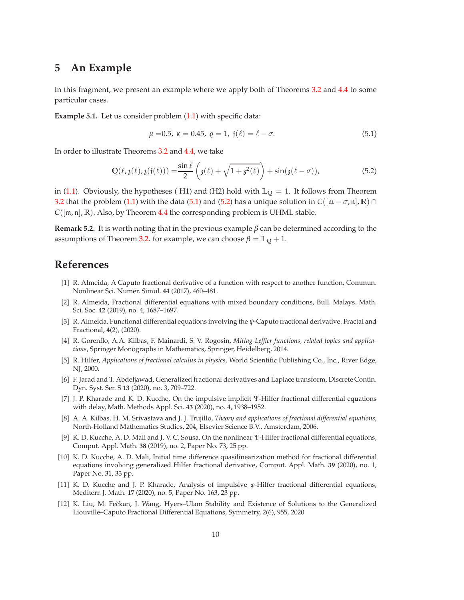### <span id="page-9-9"></span>**5 An Example**

In this fragment, we present an example where we apply both of Theorems [3.2](#page-5-0) and [4.4](#page-7-1) to some particular cases.

**Example 5.1.** Let us consider problem  $(1.1)$  with specific data:

<span id="page-9-13"></span><span id="page-9-12"></span>
$$
\mu = 0.5, \ \kappa = 0.45, \ \varrho = 1, \ \mathfrak{f}(\ell) = \ell - \sigma. \tag{5.1}
$$

In order to illustrate Theorems [3.2](#page-5-0) and [4.4,](#page-7-1) we take

$$
\mathbb{Q}(\ell, \mathfrak{z}(\ell), \mathfrak{z}(\mathfrak{f}(\ell))) = \frac{\sin \ell}{2} \left( \mathfrak{z}(\ell) + \sqrt{1 + \mathfrak{z}^2(\ell)} \right) + \sin(\mathfrak{z}(\ell - \sigma)), \tag{5.2}
$$

in [\(1.1\)](#page-1-1). Obviously, the hypotheses ( H1) and (H2) hold with  $\mathbb{L}_{\mathbb{O}} = 1$ . It follows from Theorem [3.2](#page-5-0) that the problem [\(1.1\)](#page-1-1) with the data [\(5.1\)](#page-9-12) and [\(5.2\)](#page-9-13) has a unique solution in  $C([m - \sigma, n], \mathbb{R}) \cap$ *C*([m, n], **R**). Also, by Theorem [4.4](#page-7-1) the corresponding problem is UHML stable.

**Remark 5.2.** It is worth noting that in the previous example *β* can be determined according to the assumptions of Theorem [3.2.](#page-5-0) for example, we can choose  $\beta = \mathbb{L}_0 + 1$ .

### <span id="page-9-2"></span>**References**

- [1] R. Almeida, A Caputo fractional derivative of a function with respect to another function, Commun. Nonlinear Sci. Numer. Simul. **44** (2017), 460–481.
- <span id="page-9-3"></span>[2] R. Almeida, Fractional differential equations with mixed boundary conditions, Bull. Malays. Math. Sci. Soc. **42** (2019), no. 4, 1687–1697.
- <span id="page-9-4"></span>[3] R. Almeida, Functional differential equations involving the *ψ*-Caputo fractional derivative. Fractal and Fractional, **4**(2), (2020).
- <span id="page-9-10"></span>[4] R. Gorenflo, A.A. Kilbas, F. Mainardi, S. V. Rogosin, *Mittag-Leffler functions, related topics and applications*, Springer Monographs in Mathematics, Springer, Heidelberg, 2014.
- <span id="page-9-0"></span>[5] R. Hilfer, *Applications of fractional calculus in physics*, World Scientific Publishing Co., Inc., River Edge, NJ, 2000.
- <span id="page-9-11"></span>[6] F. Jarad and T. Abdeljawad, Generalized fractional derivatives and Laplace transform, Discrete Contin. Dyn. Syst. Ser. S **13** (2020), no. 3, 709–722.
- <span id="page-9-5"></span>[7] J. P. Kharade and K. D. Kucche, On the impulsive implicit Ψ-Hilfer fractional differential equations with delay, Math. Methods Appl. Sci. **43** (2020), no. 4, 1938–1952.
- <span id="page-9-1"></span>[8] A. A. Kilbas, H. M. Srivastava and J. J. Trujillo, *Theory and applications of fractional differential equations*, North-Holland Mathematics Studies, 204, Elsevier Science B.V., Amsterdam, 2006.
- <span id="page-9-6"></span>[9] K. D. Kucche, A. D. Mali and J. V. C. Sousa, On the nonlinear Ψ-Hilfer fractional differential equations, Comput. Appl. Math. **38** (2019), no. 2, Paper No. 73, 25 pp.
- [10] K. D. Kucche, A. D. Mali, Initial time difference quasilinearization method for fractional differential equations involving generalized Hilfer fractional derivative, Comput. Appl. Math. **39** (2020), no. 1, Paper No. 31, 33 pp.
- <span id="page-9-7"></span>[11] K. D. Kucche and J. P. Kharade, Analysis of impulsive *ϕ*-Hilfer fractional differential equations, Mediterr. J. Math. **17** (2020), no. 5, Paper No. 163, 23 pp.
- <span id="page-9-8"></span>[12] K. Liu, M. Fečkan, J. Wang, Hyers-Ulam Stability and Existence of Solutions to the Generalized Liouville–Caputo Fractional Differential Equations, Symmetry, 2(6), 955, 2020